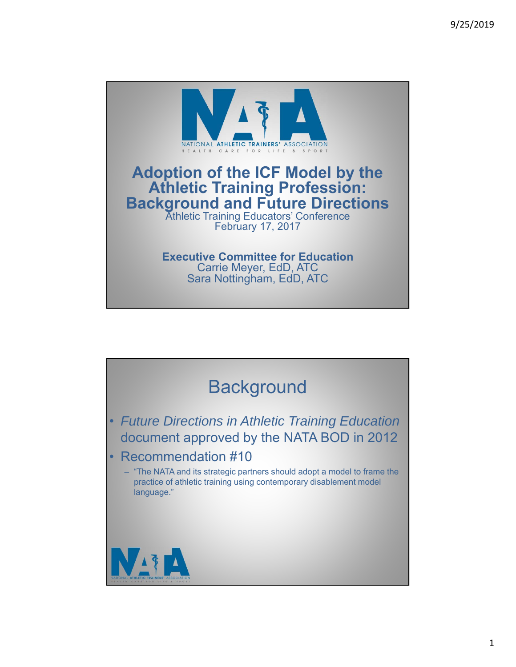

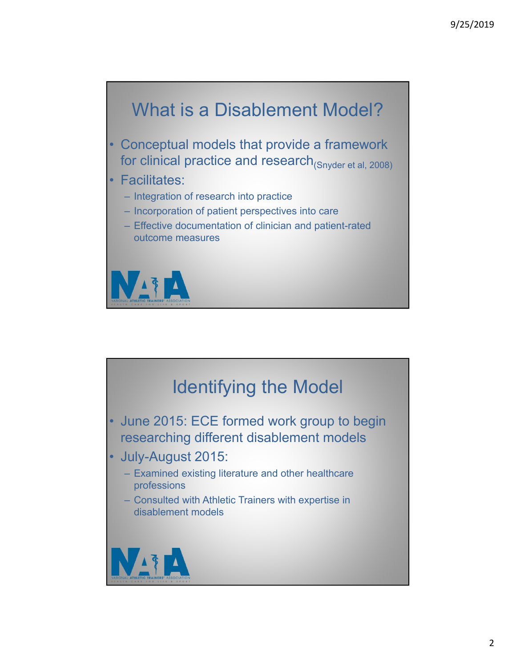

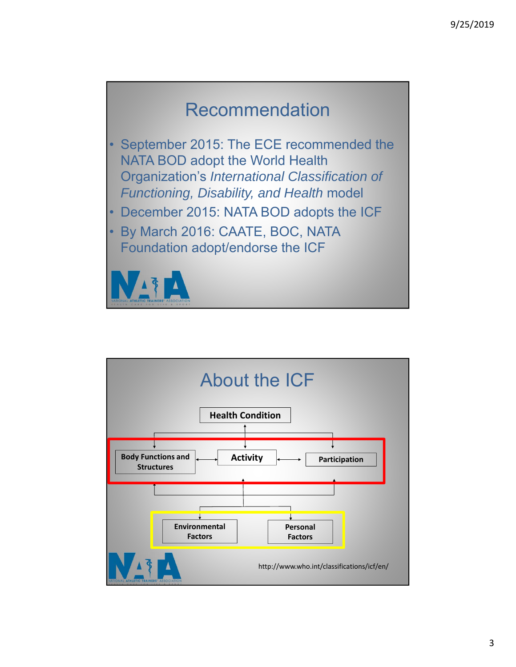## Recommendation

- September 2015: The ECE recommended the NATA BOD adopt the World Health Organization's *International Classification of Functioning, Disability, and Health* model
- December 2015: NATA BOD adopts the ICF
- By March 2016: CAATE, BOC, NATA Foundation adopt/endorse the ICF

VIT

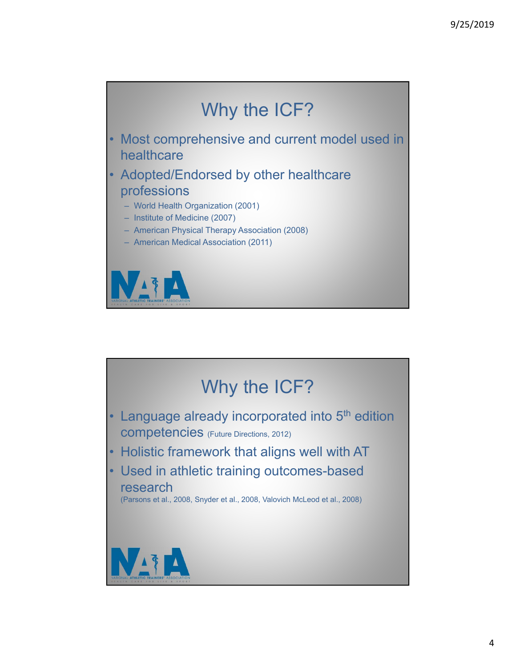

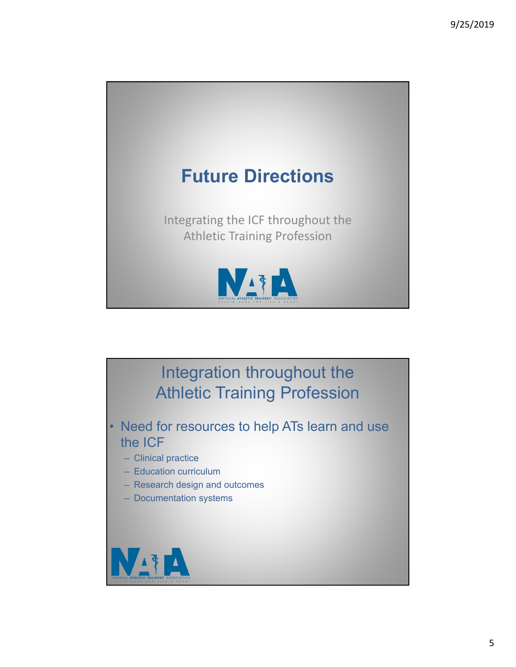

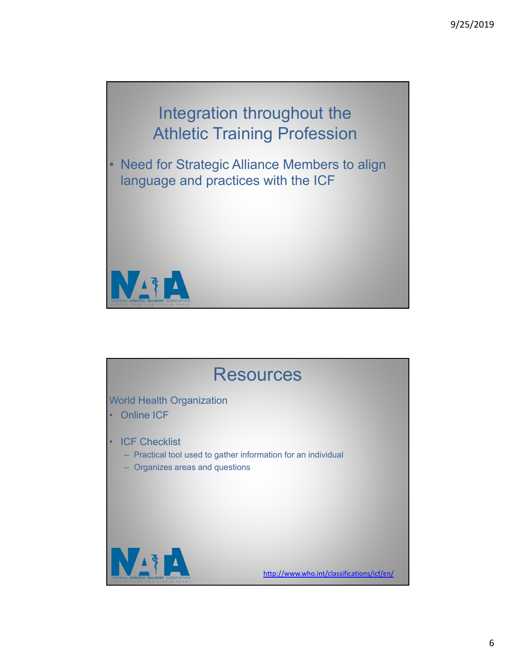# Integration throughout the Athletic Training Profession

• Need for Strategic Alliance Members to align language and practices with the ICF



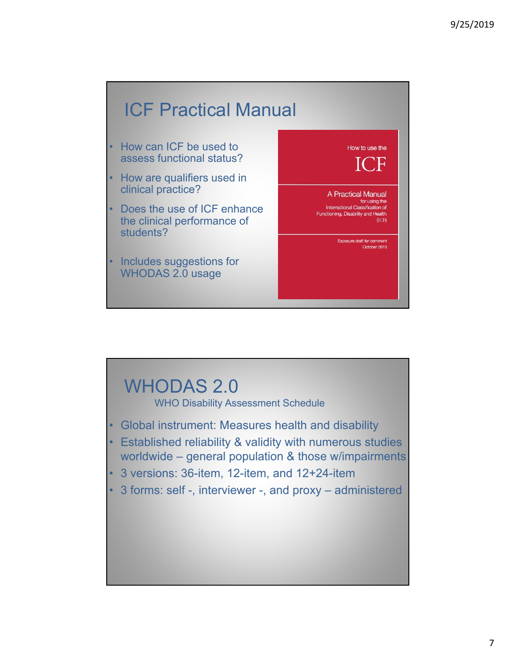## ICF Practical Manual

- How can ICF be used to assess functional status?
- How are qualifiers used in clinical practice?
- Does the use of ICF enhance the clinical performance of students?
- Includes suggestions for WHODAS 2.0 usage



### WHODAS 2.0 WHO Disability Assessment Schedule

- Global instrument: Measures health and disability
- Established reliability & validity with numerous studies worldwide – general population & those w/impairments
- 3 versions: 36-item, 12-item, and 12+24-item
- 3 forms: self -, interviewer -, and proxy administered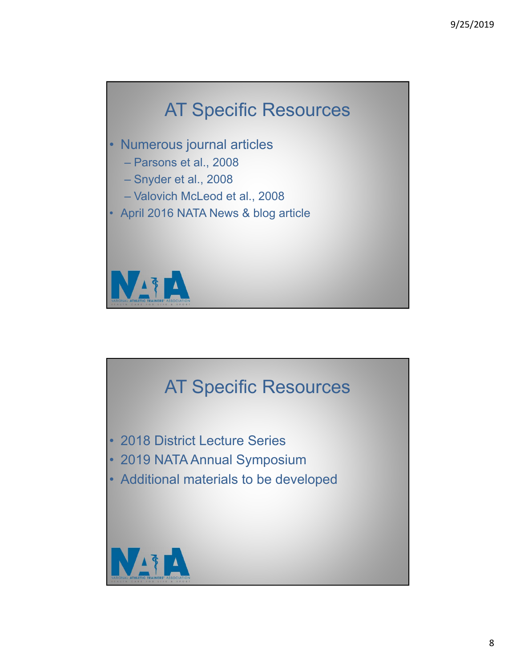

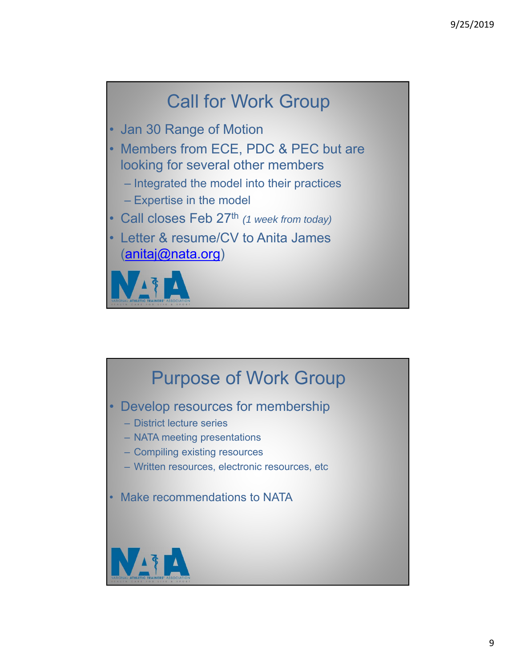# Call for Work Group

- Jan 30 Range of Motion
- Members from ECE, PDC & PEC but are looking for several other members
	- Integrated the model into their practices
	- Expertise in the model
- Call closes Feb 27th *(1 week from today)*
- Letter & resume/CV to Anita James (anitaj@nata.org)



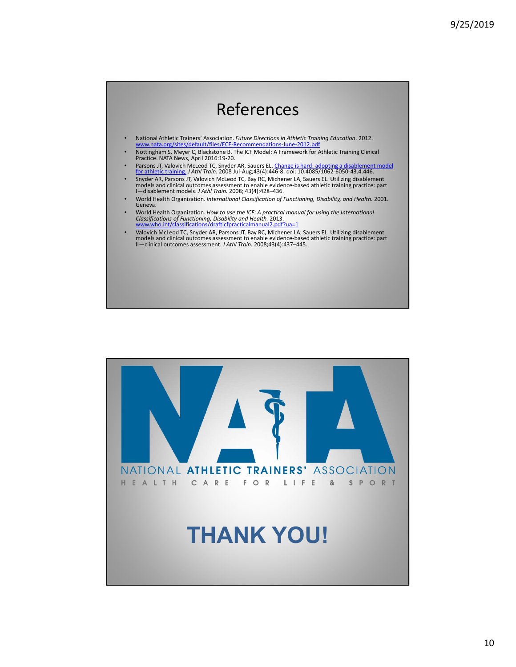